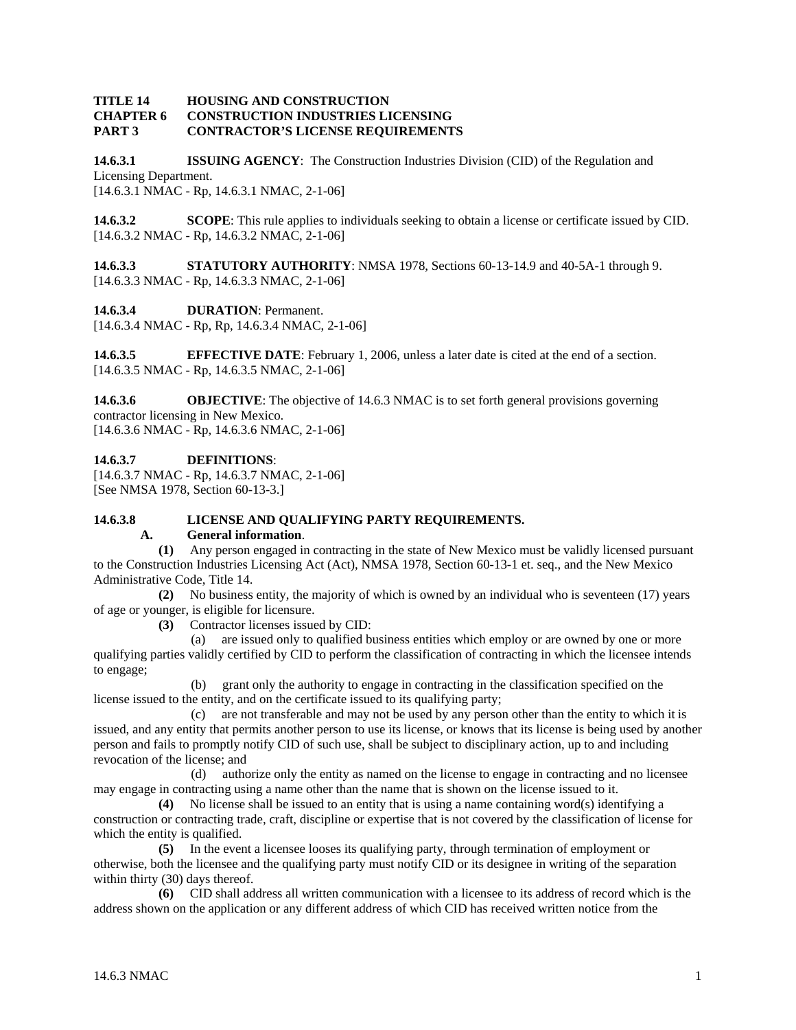## **TITLE 14 HOUSING AND CONSTRUCTION CHAPTER 6 CONSTRUCTION INDUSTRIES LICENSING PART 3 CONTRACTOR'S LICENSE REQUIREMENTS**

**14.6.3.1 ISSUING AGENCY**: The Construction Industries Division (CID) of the Regulation and Licensing Department. [14.6.3.1 NMAC - Rp, 14.6.3.1 NMAC, 2-1-06]

**14.6.3.2 SCOPE:** This rule applies to individuals seeking to obtain a license or certificate issued by CID. [14.6.3.2 NMAC - Rp, 14.6.3.2 NMAC, 2-1-06]

**14.6.3.3 STATUTORY AUTHORITY**: NMSA 1978, Sections 60-13-14.9 and 40-5A-1 through 9. [14.6.3.3 NMAC - Rp, 14.6.3.3 NMAC, 2-1-06]

**14.6.3.4 DURATION**: Permanent.

[14.6.3.4 NMAC - Rp, Rp, 14.6.3.4 NMAC, 2-1-06]

**14.6.3.5 EFFECTIVE DATE**: February 1, 2006, unless a later date is cited at the end of a section. [14.6.3.5 NMAC - Rp, 14.6.3.5 NMAC, 2-1-06]

**14.6.3.6 OBJECTIVE**: The objective of 14.6.3 NMAC is to set forth general provisions governing contractor licensing in New Mexico. [14.6.3.6 NMAC - Rp, 14.6.3.6 NMAC, 2-1-06]

**14.6.3.7 DEFINITIONS**:

[14.6.3.7 NMAC - Rp, 14.6.3.7 NMAC, 2-1-06] [See NMSA 1978, Section 60-13-3.]

#### **14.6.3.8 LICENSE AND QUALIFYING PARTY REQUIREMENTS. A. General information**.

 **(1)** Any person engaged in contracting in the state of New Mexico must be validly licensed pursuant to the Construction Industries Licensing Act (Act), NMSA 1978, Section 60-13-1 et. seq., and the New Mexico Administrative Code, Title 14.

 **(2)** No business entity, the majority of which is owned by an individual who is seventeen (17) years of age or younger, is eligible for licensure.

**(3)** Contractor licenses issued by CID:

 (a) are issued only to qualified business entities which employ or are owned by one or more qualifying parties validly certified by CID to perform the classification of contracting in which the licensee intends to engage;

 (b) grant only the authority to engage in contracting in the classification specified on the license issued to the entity, and on the certificate issued to its qualifying party;

 (c) are not transferable and may not be used by any person other than the entity to which it is issued, and any entity that permits another person to use its license, or knows that its license is being used by another person and fails to promptly notify CID of such use, shall be subject to disciplinary action, up to and including revocation of the license; and

 (d) authorize only the entity as named on the license to engage in contracting and no licensee may engage in contracting using a name other than the name that is shown on the license issued to it.

 **(4)** No license shall be issued to an entity that is using a name containing word(s) identifying a construction or contracting trade, craft, discipline or expertise that is not covered by the classification of license for which the entity is qualified.

 **(5)** In the event a licensee looses its qualifying party, through termination of employment or otherwise, both the licensee and the qualifying party must notify CID or its designee in writing of the separation within thirty (30) days thereof.

 **(6)** CID shall address all written communication with a licensee to its address of record which is the address shown on the application or any different address of which CID has received written notice from the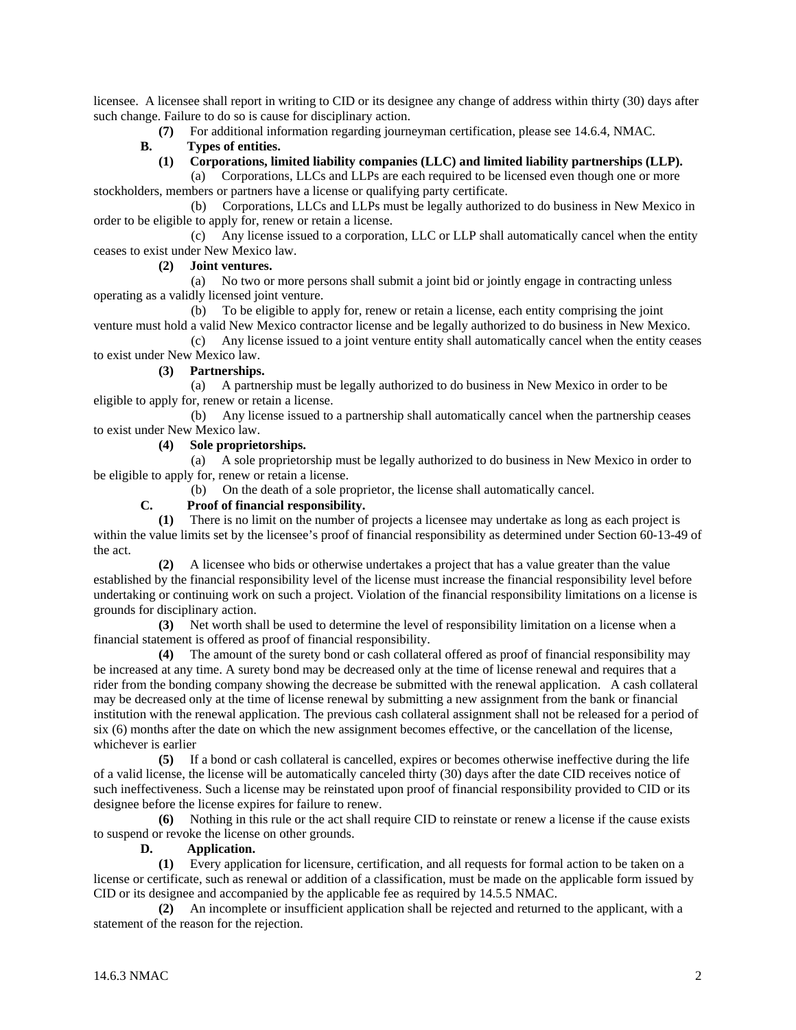licensee. A licensee shall report in writing to CID or its designee any change of address within thirty (30) days after such change. Failure to do so is cause for disciplinary action.

**(7)** For additional information regarding journeyman certification, please see 14.6.4, NMAC.

 **B. Types of entities.**

#### **(1) Corporations, limited liability companies (LLC) and limited liability partnerships (LLP).**

 (a) Corporations, LLCs and LLPs are each required to be licensed even though one or more stockholders, members or partners have a license or qualifying party certificate.

 (b) Corporations, LLCs and LLPs must be legally authorized to do business in New Mexico in order to be eligible to apply for, renew or retain a license.

 (c) Any license issued to a corporation, LLC or LLP shall automatically cancel when the entity ceases to exist under New Mexico law.

#### **(2) Joint ventures.**

 (a) No two or more persons shall submit a joint bid or jointly engage in contracting unless operating as a validly licensed joint venture.

 (b) To be eligible to apply for, renew or retain a license, each entity comprising the joint venture must hold a valid New Mexico contractor license and be legally authorized to do business in New Mexico.

 (c) Any license issued to a joint venture entity shall automatically cancel when the entity ceases to exist under New Mexico law.

#### **(3) Partnerships.**

 (a) A partnership must be legally authorized to do business in New Mexico in order to be eligible to apply for, renew or retain a license.

 (b) Any license issued to a partnership shall automatically cancel when the partnership ceases to exist under New Mexico law.

**(4) Sole proprietorships.**

 (a) A sole proprietorship must be legally authorized to do business in New Mexico in order to be eligible to apply for, renew or retain a license.

(b) On the death of a sole proprietor, the license shall automatically cancel.

# **C. Proof of financial responsibility.**

 **(1)** There is no limit on the number of projects a licensee may undertake as long as each project is within the value limits set by the licensee's proof of financial responsibility as determined under Section 60-13-49 of the act.

 **(2)** A licensee who bids or otherwise undertakes a project that has a value greater than the value established by the financial responsibility level of the license must increase the financial responsibility level before undertaking or continuing work on such a project. Violation of the financial responsibility limitations on a license is grounds for disciplinary action.

 **(3)** Net worth shall be used to determine the level of responsibility limitation on a license when a financial statement is offered as proof of financial responsibility.

 **(4)** The amount of the surety bond or cash collateral offered as proof of financial responsibility may be increased at any time. A surety bond may be decreased only at the time of license renewal and requires that a rider from the bonding company showing the decrease be submitted with the renewal application. A cash collateral may be decreased only at the time of license renewal by submitting a new assignment from the bank or financial institution with the renewal application. The previous cash collateral assignment shall not be released for a period of six (6) months after the date on which the new assignment becomes effective, or the cancellation of the license, whichever is earlier

 **(5)** If a bond or cash collateral is cancelled, expires or becomes otherwise ineffective during the life of a valid license, the license will be automatically canceled thirty (30) days after the date CID receives notice of such ineffectiveness. Such a license may be reinstated upon proof of financial responsibility provided to CID or its designee before the license expires for failure to renew.

 **(6)** Nothing in this rule or the act shall require CID to reinstate or renew a license if the cause exists to suspend or revoke the license on other grounds.

## **D. Application.**

 **(1)** Every application for licensure, certification, and all requests for formal action to be taken on a license or certificate, such as renewal or addition of a classification, must be made on the applicable form issued by CID or its designee and accompanied by the applicable fee as required by 14.5.5 NMAC.

 **(2)** An incomplete or insufficient application shall be rejected and returned to the applicant, with a statement of the reason for the rejection.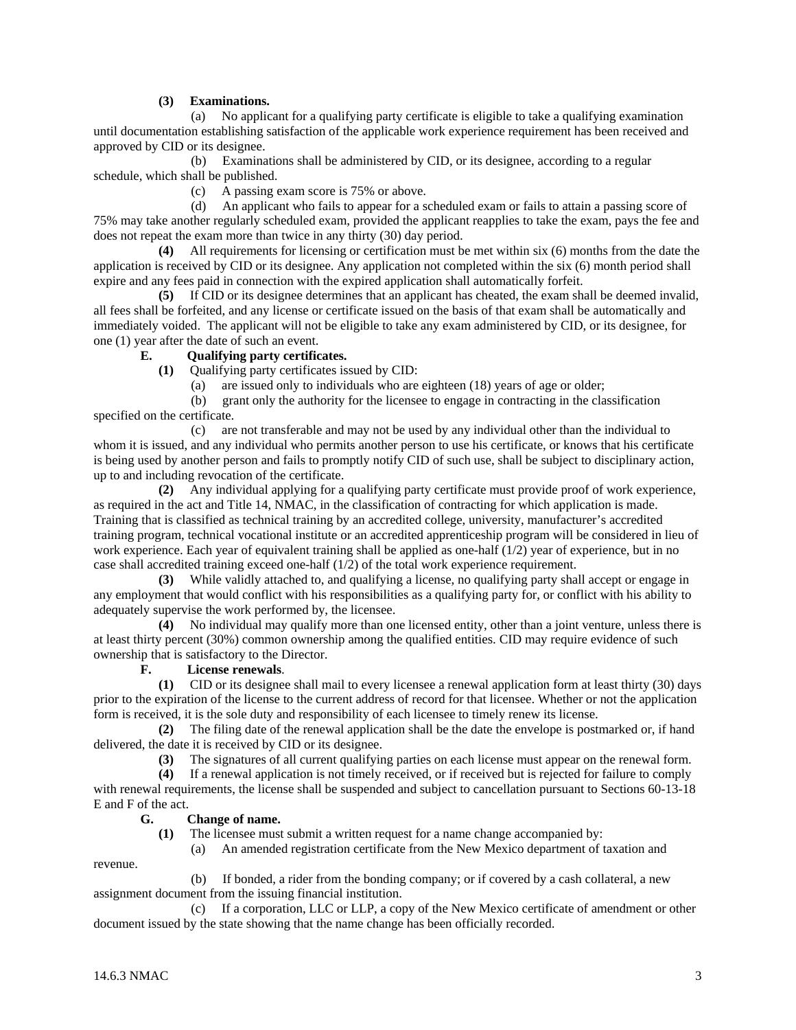## **(3) Examinations.**

 (a) No applicant for a qualifying party certificate is eligible to take a qualifying examination until documentation establishing satisfaction of the applicable work experience requirement has been received and approved by CID or its designee.

 (b) Examinations shall be administered by CID, or its designee, according to a regular schedule, which shall be published.

(c) A passing exam score is 75% or above.

 (d) An applicant who fails to appear for a scheduled exam or fails to attain a passing score of 75% may take another regularly scheduled exam, provided the applicant reapplies to take the exam, pays the fee and does not repeat the exam more than twice in any thirty (30) day period.

 **(4)** All requirements for licensing or certification must be met within six (6) months from the date the application is received by CID or its designee. Any application not completed within the six (6) month period shall expire and any fees paid in connection with the expired application shall automatically forfeit.

 **(5)** If CID or its designee determines that an applicant has cheated, the exam shall be deemed invalid, all fees shall be forfeited, and any license or certificate issued on the basis of that exam shall be automatically and immediately voided. The applicant will not be eligible to take any exam administered by CID, or its designee, for one (1) year after the date of such an event.

# **E. Qualifying party certificates.**

**(1)** Qualifying party certificates issued by CID:

(a) are issued only to individuals who are eighteen (18) years of age or older;

 (b) grant only the authority for the licensee to engage in contracting in the classification specified on the certificate.

 (c) are not transferable and may not be used by any individual other than the individual to whom it is issued, and any individual who permits another person to use his certificate, or knows that his certificate is being used by another person and fails to promptly notify CID of such use, shall be subject to disciplinary action, up to and including revocation of the certificate.

 **(2)** Any individual applying for a qualifying party certificate must provide proof of work experience, as required in the act and Title 14, NMAC, in the classification of contracting for which application is made. Training that is classified as technical training by an accredited college, university, manufacturer's accredited training program, technical vocational institute or an accredited apprenticeship program will be considered in lieu of work experience. Each year of equivalent training shall be applied as one-half (1/2) year of experience, but in no case shall accredited training exceed one-half (1/2) of the total work experience requirement.

 **(3)** While validly attached to, and qualifying a license, no qualifying party shall accept or engage in any employment that would conflict with his responsibilities as a qualifying party for, or conflict with his ability to adequately supervise the work performed by, the licensee.

 **(4)** No individual may qualify more than one licensed entity, other than a joint venture, unless there is at least thirty percent (30%) common ownership among the qualified entities. CID may require evidence of such ownership that is satisfactory to the Director.

## **F. License renewals**.

 **(1)** CID or its designee shall mail to every licensee a renewal application form at least thirty (30) days prior to the expiration of the license to the current address of record for that licensee. Whether or not the application form is received, it is the sole duty and responsibility of each licensee to timely renew its license.

 **(2)** The filing date of the renewal application shall be the date the envelope is postmarked or, if hand delivered, the date it is received by CID or its designee.

**(3)** The signatures of all current qualifying parties on each license must appear on the renewal form.

 **(4)** If a renewal application is not timely received, or if received but is rejected for failure to comply with renewal requirements, the license shall be suspended and subject to cancellation pursuant to Sections 60-13-18 E and F of the act.

## **G. Change of name.**

**(1)** The licensee must submit a written request for a name change accompanied by:

(a) An amended registration certificate from the New Mexico department of taxation and

 (b) If bonded, a rider from the bonding company; or if covered by a cash collateral, a new assignment document from the issuing financial institution.

 (c) If a corporation, LLC or LLP, a copy of the New Mexico certificate of amendment or other document issued by the state showing that the name change has been officially recorded.

revenue.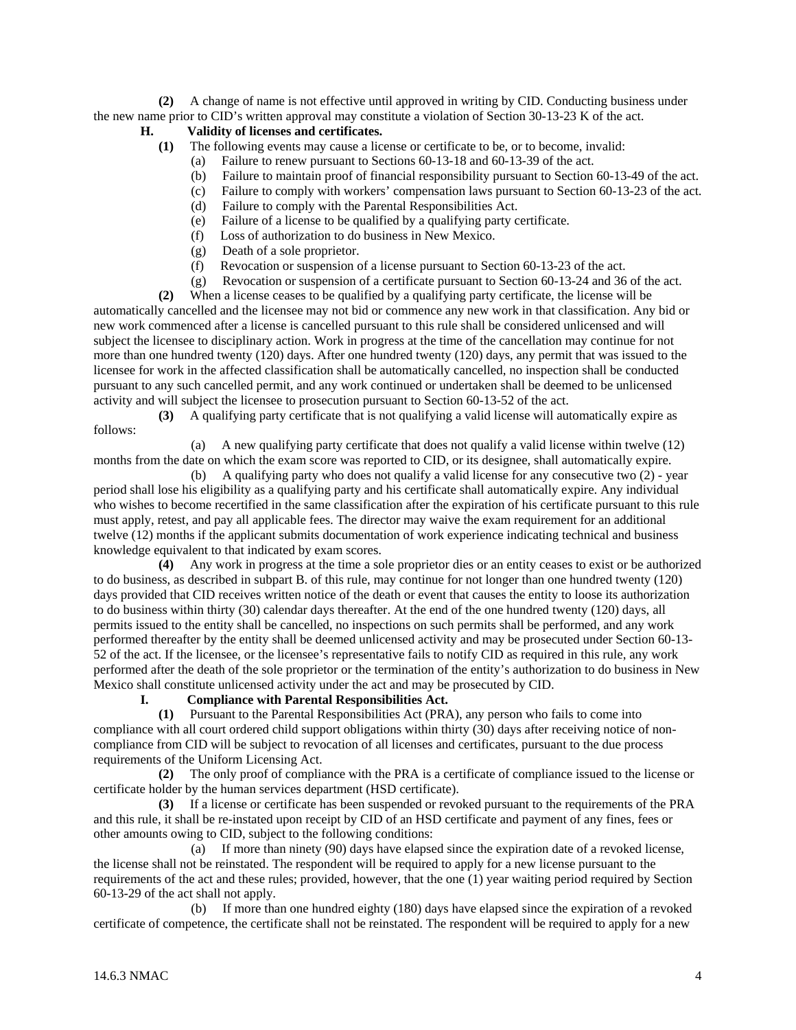**(2)** A change of name is not effective until approved in writing by CID. Conducting business under the new name prior to CID's written approval may constitute a violation of Section 30-13-23 K of the act.

# **H. Validity of licenses and certificates.**

- **(1)** The following events may cause a license or certificate to be, or to become, invalid:
	- (a) Failure to renew pursuant to Sections 60-13-18 and 60-13-39 of the act.
	- (b) Failure to maintain proof of financial responsibility pursuant to Section 60-13-49 of the act.
	- (c) Failure to comply with workers' compensation laws pursuant to Section 60-13-23 of the act.
	- (d) Failure to comply with the Parental Responsibilities Act.
	- (e) Failure of a license to be qualified by a qualifying party certificate.
	- (f) Loss of authorization to do business in New Mexico.
	- (g) Death of a sole proprietor.
	- (f) Revocation or suspension of a license pursuant to Section 60-13-23 of the act.

(g) Revocation or suspension of a certificate pursuant to Section 60-13-24 and 36 of the act.

 **(2)** When a license ceases to be qualified by a qualifying party certificate, the license will be automatically cancelled and the licensee may not bid or commence any new work in that classification. Any bid or new work commenced after a license is cancelled pursuant to this rule shall be considered unlicensed and will subject the licensee to disciplinary action. Work in progress at the time of the cancellation may continue for not more than one hundred twenty (120) days. After one hundred twenty (120) days, any permit that was issued to the licensee for work in the affected classification shall be automatically cancelled, no inspection shall be conducted pursuant to any such cancelled permit, and any work continued or undertaken shall be deemed to be unlicensed activity and will subject the licensee to prosecution pursuant to Section 60-13-52 of the act.

 **(3)** A qualifying party certificate that is not qualifying a valid license will automatically expire as follows:

 (a) A new qualifying party certificate that does not qualify a valid license within twelve (12) months from the date on which the exam score was reported to CID, or its designee, shall automatically expire.

 (b) A qualifying party who does not qualify a valid license for any consecutive two (2) - year period shall lose his eligibility as a qualifying party and his certificate shall automatically expire. Any individual who wishes to become recertified in the same classification after the expiration of his certificate pursuant to this rule must apply, retest, and pay all applicable fees. The director may waive the exam requirement for an additional twelve (12) months if the applicant submits documentation of work experience indicating technical and business knowledge equivalent to that indicated by exam scores.

 **(4)** Any work in progress at the time a sole proprietor dies or an entity ceases to exist or be authorized to do business, as described in subpart B. of this rule, may continue for not longer than one hundred twenty (120) days provided that CID receives written notice of the death or event that causes the entity to loose its authorization to do business within thirty (30) calendar days thereafter. At the end of the one hundred twenty (120) days, all permits issued to the entity shall be cancelled, no inspections on such permits shall be performed, and any work performed thereafter by the entity shall be deemed unlicensed activity and may be prosecuted under Section 60-13- 52 of the act. If the licensee, or the licensee's representative fails to notify CID as required in this rule, any work performed after the death of the sole proprietor or the termination of the entity's authorization to do business in New Mexico shall constitute unlicensed activity under the act and may be prosecuted by CID.

## **I. Compliance with Parental Responsibilities Act.**

Pursuant to the Parental Responsibilities Act (PRA), any person who fails to come into compliance with all court ordered child support obligations within thirty (30) days after receiving notice of noncompliance from CID will be subject to revocation of all licenses and certificates, pursuant to the due process requirements of the Uniform Licensing Act.

 **(2)** The only proof of compliance with the PRA is a certificate of compliance issued to the license or certificate holder by the human services department (HSD certificate).

 **(3)** If a license or certificate has been suspended or revoked pursuant to the requirements of the PRA and this rule, it shall be re-instated upon receipt by CID of an HSD certificate and payment of any fines, fees or other amounts owing to CID, subject to the following conditions:

 (a) If more than ninety (90) days have elapsed since the expiration date of a revoked license, the license shall not be reinstated. The respondent will be required to apply for a new license pursuant to the requirements of the act and these rules; provided, however, that the one (1) year waiting period required by Section 60-13-29 of the act shall not apply.

 (b) If more than one hundred eighty (180) days have elapsed since the expiration of a revoked certificate of competence, the certificate shall not be reinstated. The respondent will be required to apply for a new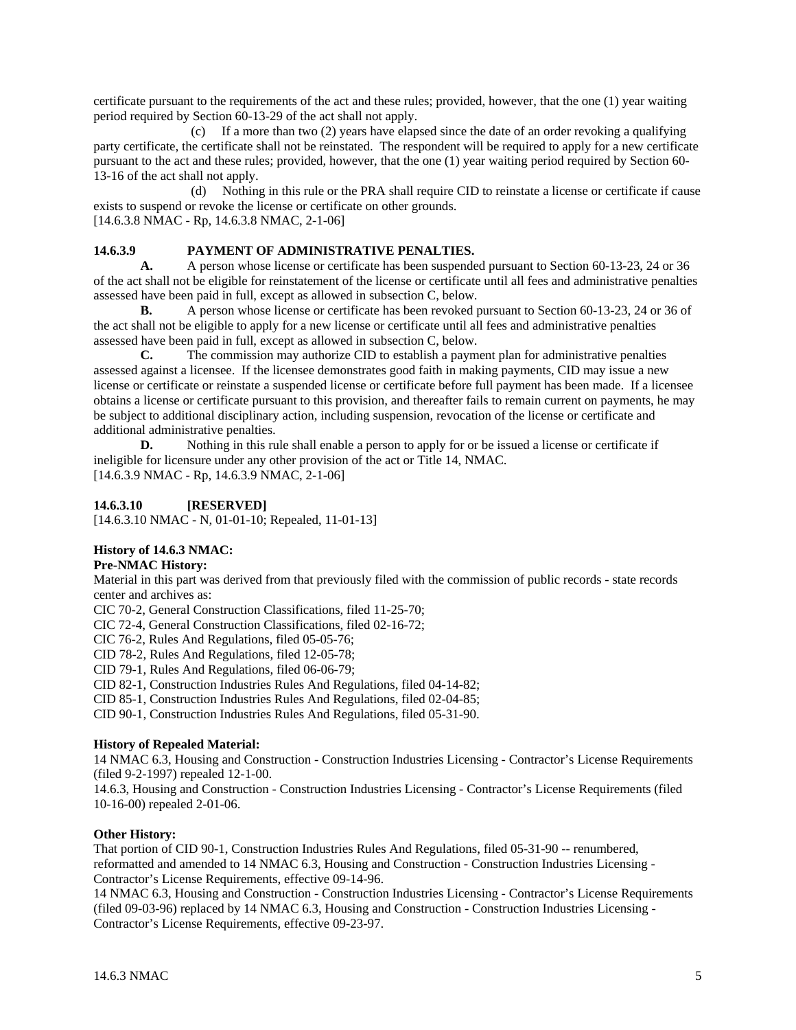certificate pursuant to the requirements of the act and these rules; provided, however, that the one (1) year waiting period required by Section 60-13-29 of the act shall not apply.

 (c) If a more than two (2) years have elapsed since the date of an order revoking a qualifying party certificate, the certificate shall not be reinstated. The respondent will be required to apply for a new certificate pursuant to the act and these rules; provided, however, that the one (1) year waiting period required by Section 60- 13-16 of the act shall not apply.

 (d) Nothing in this rule or the PRA shall require CID to reinstate a license or certificate if cause exists to suspend or revoke the license or certificate on other grounds. [14.6.3.8 NMAC - Rp, 14.6.3.8 NMAC, 2-1-06]

#### **14.6.3.9 PAYMENT OF ADMINISTRATIVE PENALTIES.**

**A.** A person whose license or certificate has been suspended pursuant to Section 60-13-23, 24 or 36 of the act shall not be eligible for reinstatement of the license or certificate until all fees and administrative penalties assessed have been paid in full, except as allowed in subsection C, below.

**B.** A person whose license or certificate has been revoked pursuant to Section 60-13-23, 24 or 36 of the act shall not be eligible to apply for a new license or certificate until all fees and administrative penalties assessed have been paid in full, except as allowed in subsection C, below.

**C.** The commission may authorize CID to establish a payment plan for administrative penalties assessed against a licensee. If the licensee demonstrates good faith in making payments, CID may issue a new license or certificate or reinstate a suspended license or certificate before full payment has been made. If a licensee obtains a license or certificate pursuant to this provision, and thereafter fails to remain current on payments, he may be subject to additional disciplinary action, including suspension, revocation of the license or certificate and additional administrative penalties.

**D.** Nothing in this rule shall enable a person to apply for or be issued a license or certificate if ineligible for licensure under any other provision of the act or Title 14, NMAC. [14.6.3.9 NMAC - Rp, 14.6.3.9 NMAC, 2-1-06]

## **14.6.3.10 [RESERVED]**

[14.6.3.10 NMAC - N, 01-01-10; Repealed, 11-01-13]

#### **History of 14.6.3 NMAC:**

#### **Pre-NMAC History:**

Material in this part was derived from that previously filed with the commission of public records - state records center and archives as:

CIC 70-2, General Construction Classifications, filed 11-25-70;

CIC 72-4, General Construction Classifications, filed 02-16-72;

CIC 76-2, Rules And Regulations, filed 05-05-76;

CID 78-2, Rules And Regulations, filed 12-05-78;

CID 79-1, Rules And Regulations, filed 06-06-79;

CID 82-1, Construction Industries Rules And Regulations, filed 04-14-82;

CID 85-1, Construction Industries Rules And Regulations, filed 02-04-85;

CID 90-1, Construction Industries Rules And Regulations, filed 05-31-90.

#### **History of Repealed Material:**

14 NMAC 6.3, Housing and Construction - Construction Industries Licensing - Contractor's License Requirements (filed 9-2-1997) repealed 12-1-00.

14.6.3, Housing and Construction - Construction Industries Licensing - Contractor's License Requirements (filed 10-16-00) repealed 2-01-06.

#### **Other History:**

That portion of CID 90-1, Construction Industries Rules And Regulations, filed 05-31-90 -- renumbered, reformatted and amended to 14 NMAC 6.3, Housing and Construction - Construction Industries Licensing - Contractor's License Requirements, effective 09-14-96.

14 NMAC 6.3, Housing and Construction - Construction Industries Licensing - Contractor's License Requirements (filed 09-03-96) replaced by 14 NMAC 6.3, Housing and Construction - Construction Industries Licensing - Contractor's License Requirements, effective 09-23-97.